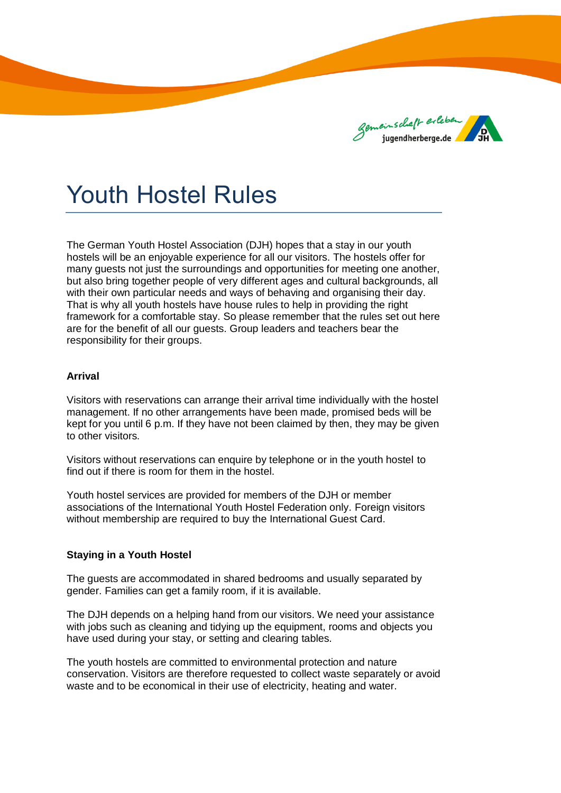

# Youth Hostel Rules

The German Youth Hostel Association (DJH) hopes that a stay in our youth hostels will be an enjoyable experience for all our visitors. The hostels offer for many guests not just the surroundings and opportunities for meeting one another, but also bring together people of very different ages and cultural backgrounds, all with their own particular needs and ways of behaving and organising their day. That is why all youth hostels have house rules to help in providing the right framework for a comfortable stay. So please remember that the rules set out here are for the benefit of all our guests. Group leaders and teachers bear the responsibility for their groups.

## **Arrival**

Visitors with reservations can arrange their arrival time individually with the hostel management. If no other arrangements have been made, promised beds will be kept for you until 6 p.m. If they have not been claimed by then, they may be given to other visitors.

Visitors without reservations can enquire by telephone or in the youth hostel to find out if there is room for them in the hostel.

Youth hostel services are provided for members of the DJH or member associations of the International Youth Hostel Federation only. Foreign visitors without membership are required to buy the International Guest Card.

## **Staying in a Youth Hostel**

The guests are accommodated in shared bedrooms and usually separated by gender. Families can get a family room, if it is available.

The DJH depends on a helping hand from our visitors. We need your assistance with jobs such as cleaning and tidying up the equipment, rooms and objects you have used during your stay, or setting and clearing tables.

The youth hostels are committed to environmental protection and nature conservation. Visitors are therefore requested to collect waste separately or avoid waste and to be economical in their use of electricity, heating and water.